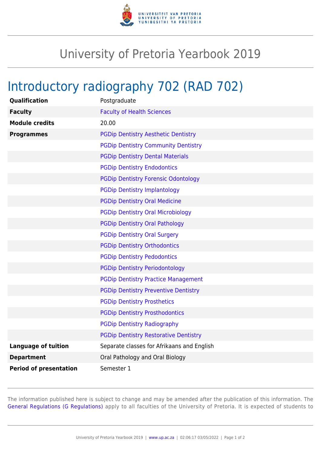

## University of Pretoria Yearbook 2019

## Introductory radiography 702 (RAD 702)

| <b>Qualification</b>          | Postgraduate                                 |
|-------------------------------|----------------------------------------------|
| <b>Faculty</b>                | <b>Faculty of Health Sciences</b>            |
| <b>Module credits</b>         | 20.00                                        |
| <b>Programmes</b>             | <b>PGDip Dentistry Aesthetic Dentistry</b>   |
|                               | <b>PGDip Dentistry Community Dentistry</b>   |
|                               | <b>PGDip Dentistry Dental Materials</b>      |
|                               | <b>PGDip Dentistry Endodontics</b>           |
|                               | <b>PGDip Dentistry Forensic Odontology</b>   |
|                               | <b>PGDip Dentistry Implantology</b>          |
|                               | <b>PGDip Dentistry Oral Medicine</b>         |
|                               | <b>PGDip Dentistry Oral Microbiology</b>     |
|                               | <b>PGDip Dentistry Oral Pathology</b>        |
|                               | <b>PGDip Dentistry Oral Surgery</b>          |
|                               | <b>PGDip Dentistry Orthodontics</b>          |
|                               | <b>PGDip Dentistry Pedodontics</b>           |
|                               | <b>PGDip Dentistry Periodontology</b>        |
|                               | <b>PGDip Dentistry Practice Management</b>   |
|                               | <b>PGDip Dentistry Preventive Dentistry</b>  |
|                               | <b>PGDip Dentistry Prosthetics</b>           |
|                               | <b>PGDip Dentistry Prosthodontics</b>        |
|                               | <b>PGDip Dentistry Radiography</b>           |
|                               | <b>PGDip Dentistry Restorative Dentistry</b> |
| <b>Language of tuition</b>    | Separate classes for Afrikaans and English   |
| <b>Department</b>             | Oral Pathology and Oral Biology              |
| <b>Period of presentation</b> | Semester 1                                   |

The information published here is subject to change and may be amended after the publication of this information. The [General Regulations \(G Regulations\)](https://www.up.ac.za/faculty-of-education/yearbooks/2019/rules/view/REG) apply to all faculties of the University of Pretoria. It is expected of students to